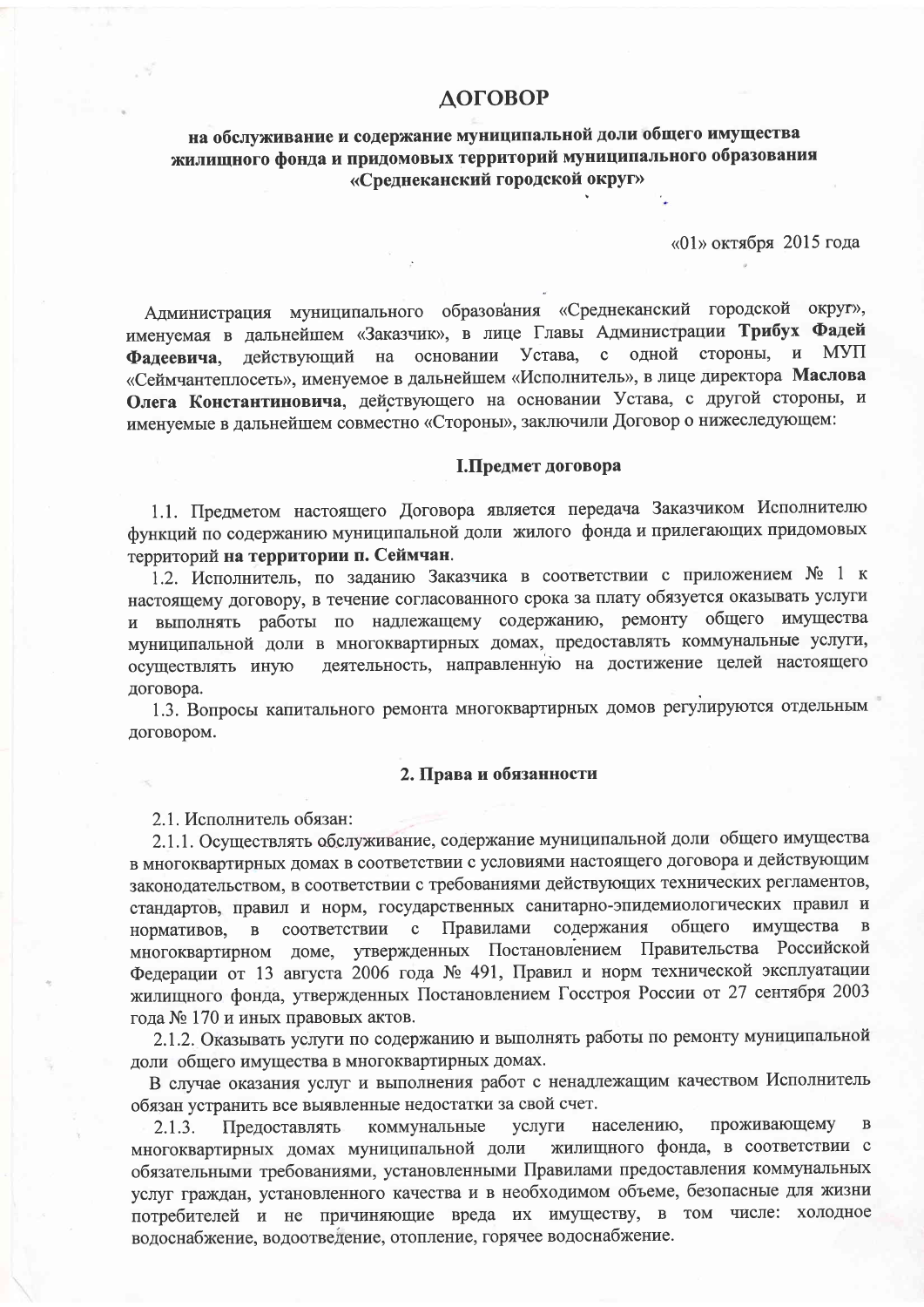# **ДОГОВОР**

# на обслуживание и содержание муниципальной доли общего имущества жилищного фонда и придомовых территорий муниципального образования «Среднеканский городской округ»

«01» октября 2015 года

Администрация муниципального образования «Среднеканский городской округ», именуемая в дальнейшем «Заказчик», в лице Главы Администрации Трибух Фадей Устава, с стороны, и **MYII** олной лействующий на основании Фалеевича. «Сеймчантеплосеть», именуемое в дальнейшем «Исполнитель», в лице директора Маслова Олега Константиновича, действующего на основании Устава, с другой стороны, и именуемые в дальнейшем совместно «Стороны», заключили Договор о нижеследующем:

### І.Предмет договора

1.1. Предметом настоящего Договора является передача Заказчиком Исполнителю функций по содержанию муниципальной доли жилого фонда и прилегающих придомовых территорий на территории п. Сеймчан.

1.2. Исполнитель, по заданию Заказчика в соответствии с приложением № 1 к настоящему договору, в течение согласованного срока за плату обязуется оказывать услуги и выполнять работы по надлежащему содержанию, ремонту общего имущества муниципальной доли в многоквартирных домах, предоставлять коммунальные услуги, деятельность, направленную на достижение целей настоящего осуществлять иную договора.

1.3. Вопросы капитального ремонта многоквартирных домов регулируются отдельным договором.

### 2. Права и обязанности

2.1. Исполнитель обязан:

2.1.1. Осуществлять обслуживание, содержание муниципальной доли общего имущества в многоквартирных домах в соответствии с условиями настоящего договора и действующим законодательством, в соответствии с требованиями действующих технических регламентов, стандартов, правил и норм, государственных санитарно-эпидемиологических правил и соответствии с Правилами содержания общего имущества  $\mathbf{B}$ нормативов.  $\mathbf{B}$ многоквартирном доме, утвержденных Постановлением Правительства Российской Федерации от 13 августа 2006 года № 491, Правил и норм технической эксплуатации жилищного фонда, утвержденных Постановлением Госстроя России от 27 сентября 2003 года № 170 и иных правовых актов.

2.1.2. Оказывать услуги по содержанию и выполнять работы по ремонту муниципальной доли общего имущества в многоквартирных домах.

В случае оказания услуг и выполнения работ с ненадлежащим качеством Исполнитель обязан устранить все выявленные недостатки за свой счет.

проживающему населению,  $\overline{B}$ Предоставлять коммунальные услуги  $2.1.3.$ многоквартирных домах муниципальной доли жилищного фонда, в соответствии с обязательными требованиями, установленными Правилами предоставления коммунальных услуг граждан, установленного качества и в необходимом объеме, безопасные для жизни потребителей и не причиняющие вреда их имуществу, в том числе: холодное водоснабжение, водоотведение, отопление, горячее водоснабжение.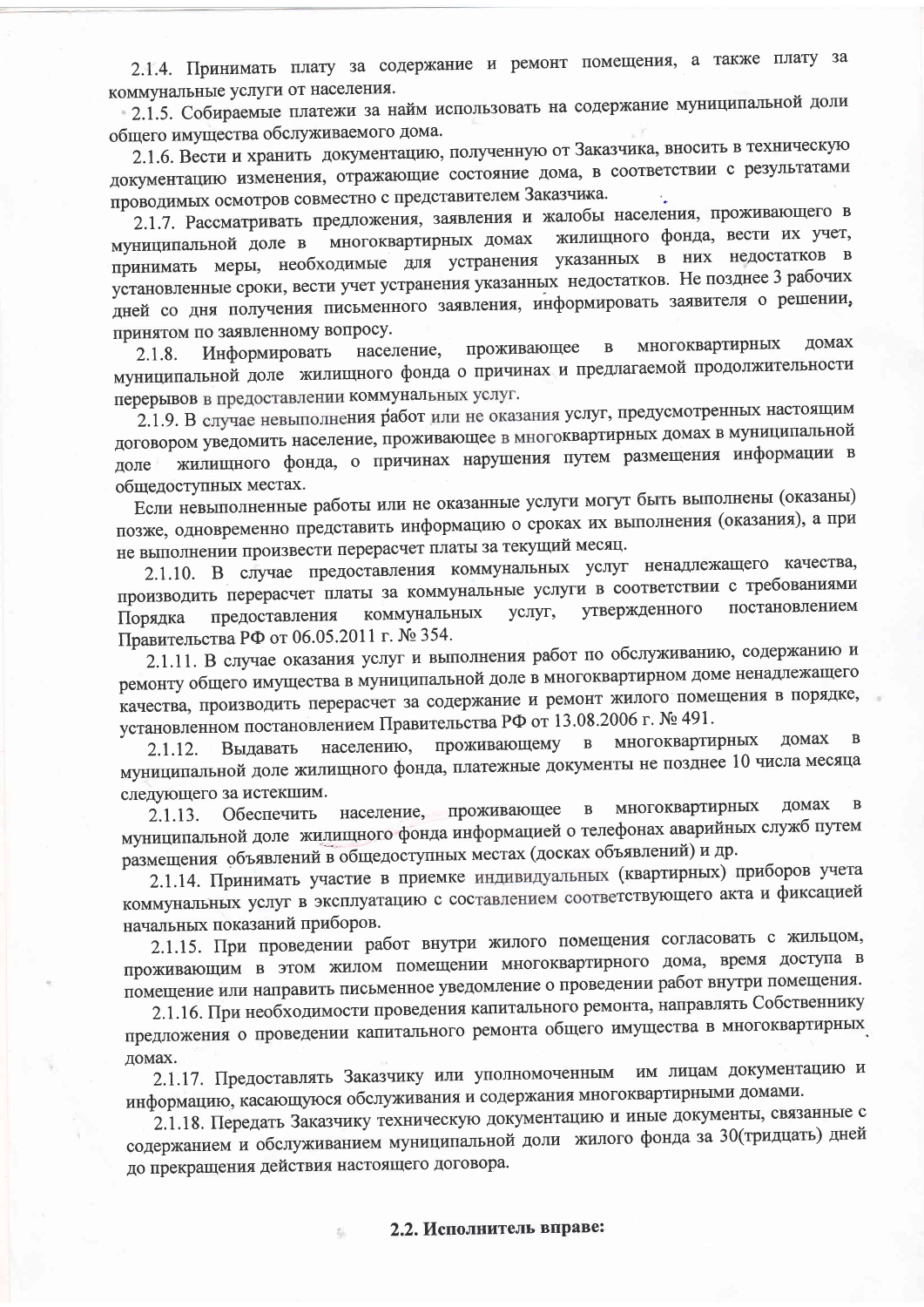2.1.4. Принимать плату за содержание и ремонт помещения, а также плату за коммунальные услуги от населения.

2.1.5. Собираемые платежи за найм использовать на содержание муниципальной доли общего имущества обслуживаемого дома.

2.1.6. Вести и хранить документацию, полученную от Заказчика, вносить в техническую документацию изменения, отражающие состояние дома, в соответствии с результатами проводимых осмотров совместно с представителем Заказчика.

2.1.7. Рассматривать предложения, заявления и жалобы населения, проживающего в жилищного фонда, вести их учет, многоквартирных домах муниципальной доле в принимать меры, необходимые для устранения указанных в них недостатков в установленные сроки, вести учет устранения указанных недостатков. Не позднее 3 рабочих дней со дня получения письменного заявления, информировать заявителя о решении, принятом по заявленному вопросу.

многоквартирных домах  $\overline{B}$ проживающее население, Информировать 2.1.8. муниципальной доле жилищного фонда о причинах и предлагаемой продолжительности перерывов в предоставлении коммунальных услуг.

2.1.9. В случае невыполнения работ или не оказания услуг, предусмотренных настоящим договором уведомить население, проживающее в многоквартирных домах в муниципальной жилищного фонда, о причинах нарушения путем размещения информации в лоле общедоступных местах.

Если невыполненные работы или не оказанные услуги могут быть выполнены (оказаны) позже, одновременно представить информацию о сроках их выполнения (оказания), а при не выполнении произвести перерасчет платы за текущий месяц.

2.1.10. В случае предоставления коммунальных услуг ненадлежащего качества, производить перерасчет платы за коммунальные услуги в соответствии с требованиями утвержденного постановлением коммунальных услуг, предоставления Порядка Правительства РФ от 06.05.2011 г. № 354.

2.1.11. В случае оказания услуг и выполнения работ по обслуживанию, содержанию и ремонту общего имущества в муниципальной доле в многоквартирном доме ненадлежащего качества, производить перерасчет за содержание и ремонт жилого помещения в порядке, установленном постановлением Правительства РФ от 13.08.2006 г. № 491.

многоквартирных домах  $\, {\bf B}$ населению, проживающему  $\, {\bf B}$ 2.1.12. Выдавать муниципальной доле жилищного фонда, платежные документы не позднее 10 числа месяца следующего за истекшим.

многоквартирных домах  $\overline{B}$ население, проживающее  $\mathbf{B}$ Обеспечить  $2.1.13.$ муниципальной доле жилищного фонда информацией о телефонах аварийных служб путем размещения объявлений в общедоступных местах (досках объявлений) и др.

2.1.14. Принимать участие в приемке индивидуальных (квартирных) приборов учета коммунальных услуг в эксплуатацию с составлением соответствующего акта и фиксацией начальных показаний приборов.

2.1.15. При проведении работ внутри жилого помещения согласовать с жильцом, проживающим в этом жилом помещении многоквартирного дома, время доступа в помещение или направить письменное уведомление о проведении работ внутри помещения.

2.1.16. При необходимости проведения капитального ремонта, направлять Собственнику предложения о проведении капитального ремонта общего имущества в многоквартирных домах.

им лицам документацию и 2.1.17. Предоставлять Заказчику или уполномоченным информацию, касающуюся обслуживания и содержания многоквартирными домами.

2.1.18. Передать Заказчику техническую документацию и иные документы, связанные с содержанием и обслуживанием муниципальной доли жилого фонда за 30 (тридцать) дней до прекращения действия настоящего договора.

2.2. Исполнитель вправе:

磊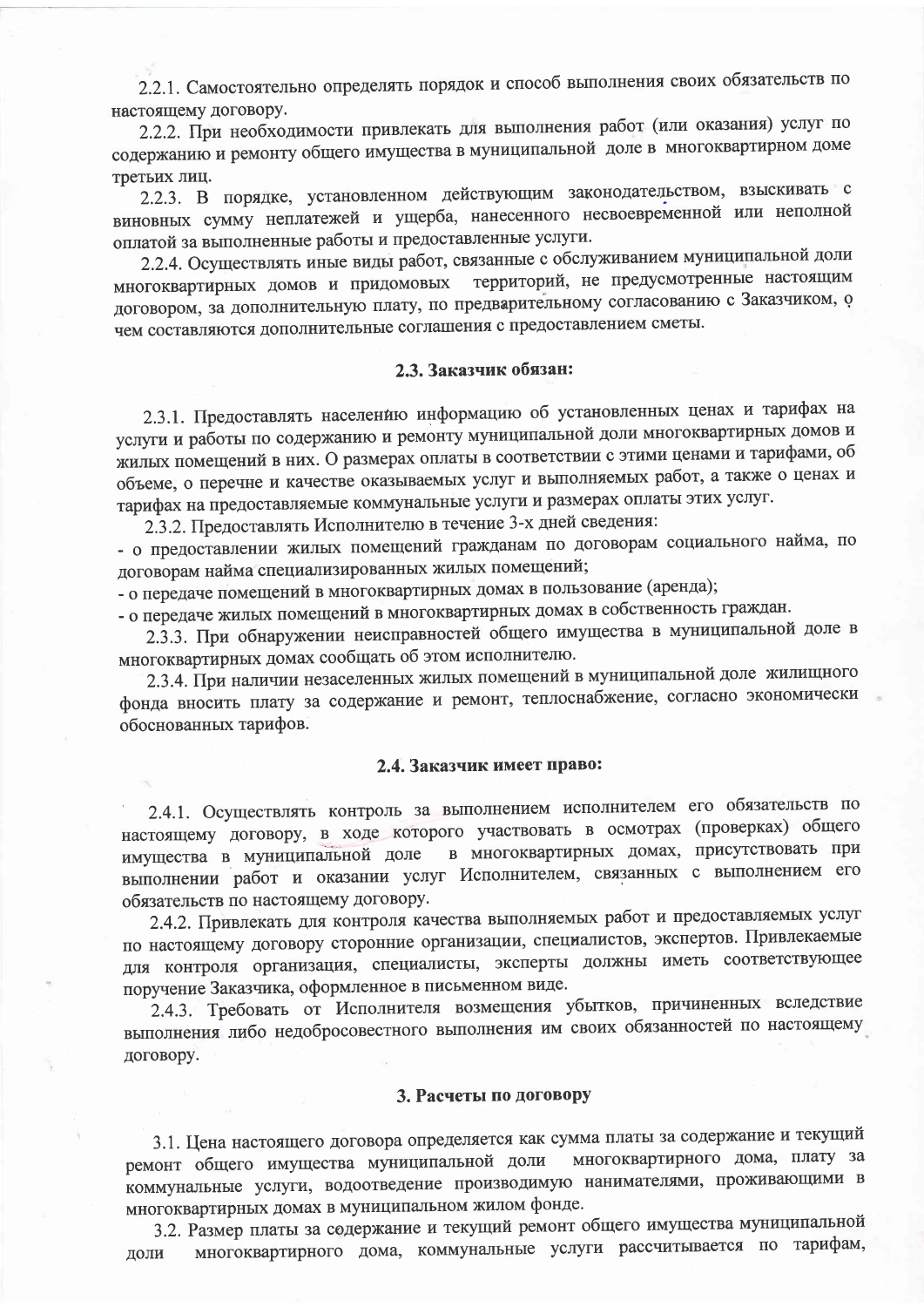2.2.1. Самостоятельно определять порядок и способ выполнения своих обязательств по настоящему договору.

2.2.2. При необходимости привлекать для выполнения работ (или оказания) услуг по содержанию и ремонту общего имущества в муниципальной доле в многоквартирном доме третьих лиц.

2.2.3. В порядке, установленном действующим законодательством, взыскивать с виновных сумму неплатежей и ущерба, нанесенного несвоевременной или неполной оплатой за выполненные работы и предоставленные услуги.

2.2.4. Осуществлять иные виды работ, связанные с обслуживанием муниципальной доли территорий, не предусмотренные настоящим многоквартирных домов и придомовых договором, за дополнительную плату, по предварительному согласованию с Заказчиком, о чем составляются дополнительные соглашения с предоставлением сметы.

## 2.3. Заказчик обязан:

2.3.1. Предоставлять населению информацию об установленных ценах и тарифах на услуги и работы по содержанию и ремонту муниципальной доли многоквартирных домов и жилых помещений в них. О размерах оплаты в соответствии с этими ценами и тарифами, об объеме, о перечне и качестве оказываемых услуг и выполняемых работ, а также о ценах и тарифах на предоставляемые коммунальные услуги и размерах оплаты этих услуг.

2.3.2. Предоставлять Исполнителю в течение 3-х дней сведения:

- о предоставлении жилых помещений гражданам по договорам социального найма, по договорам найма специализированных жилых помещений;

- о передаче помещений в многоквартирных домах в пользование (аренда);

- о передаче жилых помещений в многоквартирных домах в собственность граждан.

2.3.3. При обнаружении неисправностей общего имущества в муниципальной доле в многоквартирных домах сообщать об этом исполнителю.

2.3.4. При наличии незаселенных жилых помещений в муниципальной доле жилищного фонда вносить плату за содержание и ремонт, теплоснабжение, согласно экономически обоснованных тарифов.

# 2.4. Заказчик имеет право:

2.4.1. Осуществлять контроль за выполнением исполнителем его обязательств по настоящему договору, в ходе которого участвовать в осмотрах (проверках) общего в многоквартирных домах, присутствовать при имущества в муниципальной доле выполнении работ и оказании услуг Исполнителем, связанных с выполнением его обязательств по настоящему договору.

2.4.2. Привлекать для контроля качества выполняемых работ и предоставляемых услуг по настоящему договору сторонние организации, специалистов, экспертов. Привлекаемые для контроля организация, специалисты, эксперты должны иметь соответствующее поручение Заказчика, оформленное в письменном виде.

2.4.3. Требовать от Исполнителя возмещения убытков, причиненных вследствие выполнения либо недобросовестного выполнения им своих обязанностей по настоящему договору.

### 3. Расчеты по договору

3.1. Цена настоящего договора определяется как сумма платы за содержание и текущий многоквартирного дома, плату за ремонт общего имущества муниципальной доли коммунальные услуги, водоотведение производимую нанимателями, проживающими в многоквартирных домах в муниципальном жилом фонде.

3.2. Размер платы за содержание и текущий ремонт общего имущества муниципальной многоквартирного дома, коммунальные услуги рассчитывается по тарифам, доли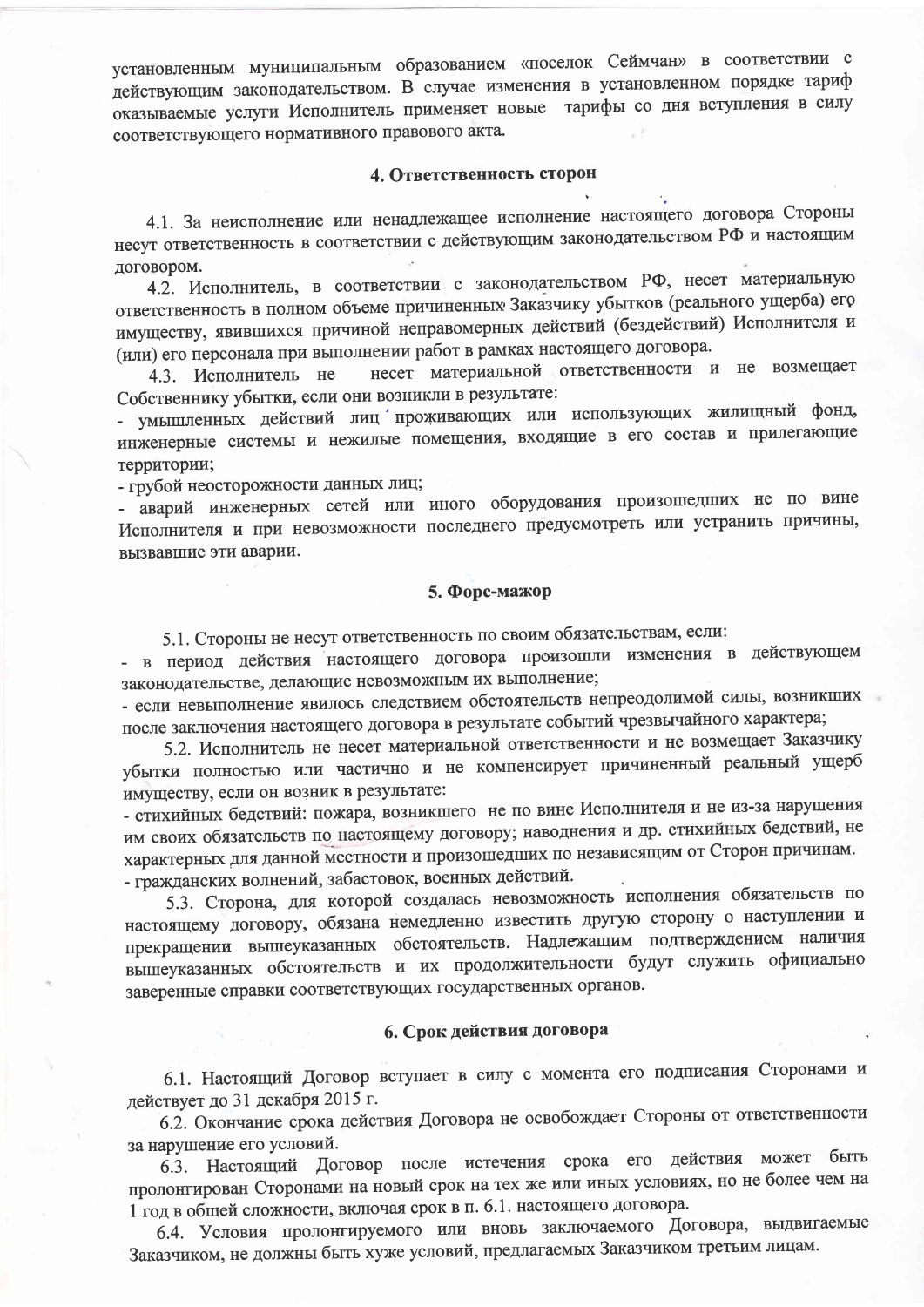установленным муниципальным образованием «поселок Сеймчан» в соответствии с действующим законодательством. В случае изменения в установленном порядке тариф оказываемые услуги Исполнитель применяет новые тарифы со дня вступления в силу соответствующего нормативного правового акта.

#### 4. Ответственность сторон

4.1. За неисполнение или ненадлежащее исполнение настоящего договора Стороны несут ответственность в соответствии с действующим законодательством РФ и настоящим договором.

4.2. Исполнитель, в соответствии с законодательством РФ, несет материальную ответственность в полном объеме причиненных Заказчику убытков (реального ущерба) его имуществу, явившихся причиной неправомерных действий (бездействий) Исполнителя и (или) его персонала при выполнении работ в рамках настоящего договора.

несет материальной ответственности и не возмещает 4.3. Исполнитель не Собственнику убытки, если они возникли в результате:

- умышленных действий лиц проживающих или использующих жилищный фонд, инженерные системы и нежилые помещения, входящие в его состав и прилегающие территории;

- грубой неосторожности данных лиц;

- аварий инженерных сетей или иного оборудования произошедших не по вине Исполнителя и при невозможности последнего предусмотреть или устранить причины, вызвавшие эти аварии.

### 5. Форс-мажор

5.1. Стороны не несут ответственность по своим обязательствам, если:

- в период действия настоящего договора произошли изменения в действующем законодательстве, делающие невозможным их выполнение;

- если невыполнение явилось следствием обстоятельств непреодолимой силы, возникших после заключения настоящего договора в результате событий чрезвычайного характера;

5.2. Исполнитель не несет материальной ответственности и не возмещает Заказчику убытки полностью или частично и не компенсирует причиненный реальный ущерб имуществу, если он возник в результате:

- стихийных бедствий: пожара, возникшего не по вине Исполнителя и не из-за нарушения им своих обязательств по настоящему договору; наводнения и др. стихийных бедствий, не характерных для данной местности и произошедших по независящим от Сторон причинам. - гражданских волнений, забастовок, военных действий.

5.3. Сторона, для которой создалась невозможность исполнения обязательств по настоящему договору, обязана немедленно известить другую сторону о наступлении и прекращении вышеуказанных обстоятельств. Надлежащим подтверждением наличия вышеуказанных обстоятельств и их продолжительности будут служить официально заверенные справки соответствующих государственных органов.

# 6. Срок действия договора

6.1. Настоящий Договор вступает в силу с момента его подписания Сторонами и действует до 31 декабря 2015 г.

6.2. Окончание срока действия Договора не освобождает Стороны от ответственности за нарушение его условий.

6.3. Настоящий Договор после истечения срока его действия может быть пролонгирован Сторонами на новый срок на тех же или иных условиях, но не более чем на 1 год в общей сложности, включая срок в п. 6.1. настоящего договора.

6.4. Условия пролонгируемого или вновь заключаемого Договора, выдвигаемые Заказчиком, не должны быть хуже условий, предлагаемых Заказчиком третьим лицам.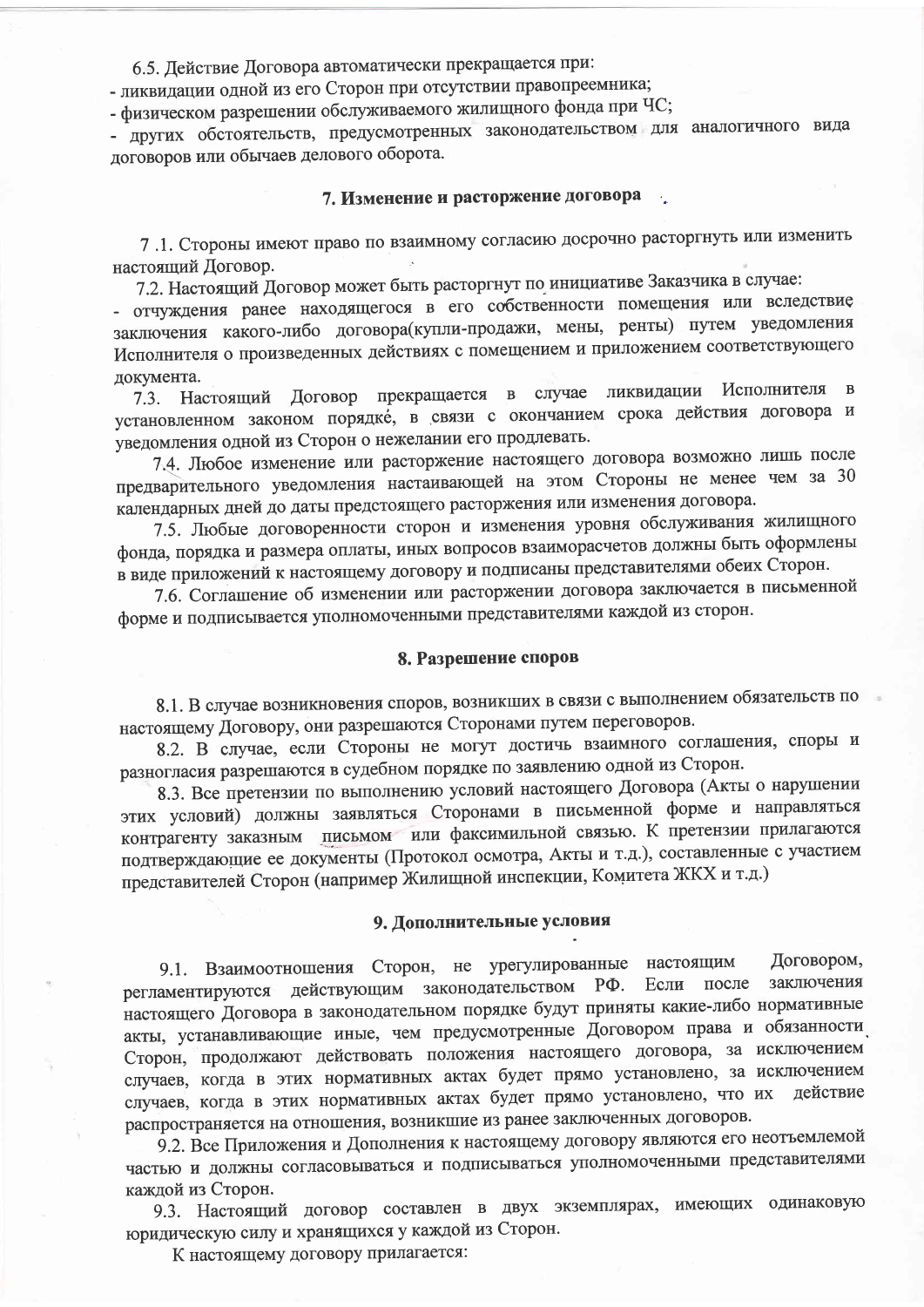6.5. Действие Договора автоматически прекращается при:

- ликвидации одной из его Сторон при отсутствии правопреемника;

- физическом разрешении обслуживаемого жилищного фонда при ЧС;

- других обстоятельств, предусмотренных законодательством для аналогичного вида договоров или обычаев делового оборота.

# 7. Изменение и расторжение договора

7 .1. Стороны имеют право по взаимному согласию досрочно расторгнуть или изменить настоящий Договор.

7.2. Настоящий Договор может быть расторгнут по инициативе Заказчика в случае:

- отчуждения ранее находящегося в его собственности помещения или вследствие заключения какого-либо договора (купли-продажи, мены, ренты) путем уведомления Исполнителя о произведенных действиях с помещением и приложением соответствующего документа.

Договор прекращается в случае ликвидации Исполнителя  $\overline{B}$ Настоящий  $7.3.$ установленном законом порядке, в связи с окончанием срока действия договора и уведомления одной из Сторон о нежелании его продлевать.

7.4. Любое изменение или расторжение настоящего договора возможно лишь после предварительного уведомления настаивающей на этом Стороны не менее чем за 30 календарных дней до даты предстоящего расторжения или изменения договора.

7.5. Любые договоренности сторон и изменения уровня обслуживания жилищного фонда, порядка и размера оплаты, иных вопросов взаиморасчетов должны быть оформлены в виде приложений к настоящему договору и подписаны представителями обеих Сторон.

7.6. Соглашение об изменении или расторжении договора заключается в письменной форме и подписывается уполномоченными представителями каждой из сторон.

#### 8. Разрешение споров

8.1. В случае возникновения споров, возникших в связи с выполнением обязательств по настоящему Договору, они разрешаются Сторонами путем переговоров.

8.2. В случае, если Стороны не могут достичь взаимного соглашения, споры и разногласия разрешаются в судебном порядке по заявлению одной из Сторон.

8.3. Все претензии по выполнению условий настоящего Договора (Акты о нарушении этих условий) должны заявляться Сторонами в письменной форме и направляться контрагенту заказным письмом или факсимильной связью. К претензии прилагаются подтверждающие ее документы (Протокол осмотра, Акты и т.д.), составленные с участием представителей Сторон (например Жилищной инспекции, Комитета ЖКХ и т.д.)

#### 9. Дополнительные условия

Договором, 9.1. Взаимоотношения Сторон, не урегулированные настоящим регламентируются действующим законодательством РФ. заключения Если после настоящего Договора в законодательном порядке будут приняты какие-либо нормативные акты, устанавливающие иные, чем предусмотренные Договором права и обязанности Сторон, продолжают действовать положения настоящего договора, за исключением случаев, когда в этих нормативных актах будет прямо установлено, за исключением случаев, когда в этих нормативных актах будет прямо установлено, что их действие распространяется на отношения, возникшие из ранее заключенных договоров.

9.2. Все Приложения и Дополнения к настоящему договору являются его неотъемлемой частью и должны согласовываться и подписываться уполномоченными представителями каждой из Сторон.

9.3. Настоящий договор составлен в двух экземплярах, имеющих одинаковую юридическую силу и хранящихся у каждой из Сторон.

К настоящему договору прилагается: